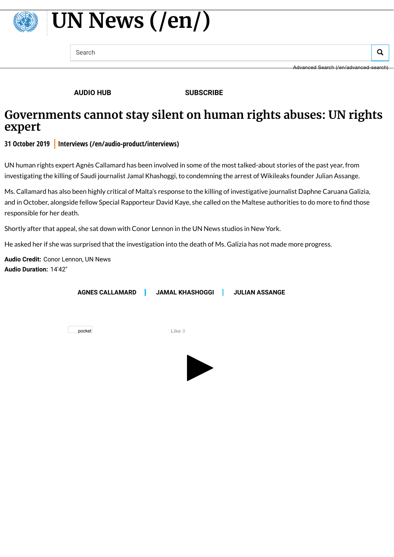

## **[UN News](https://news.un.org/en/) (/en/)**

Search  $\overline{Q}$ 

Advanced Search [\(/en/advanced-search\)](https://news.un.org/en/advanced-search)

**[AUDIO HUB](https://news.un.org/en/audio-hub) [SUBSCRIBE](https://news.un.org/en/content/un-newsletter-subscribe)**

## **Governments cannot stay silent on human rights abuses: UN rights expert**

**31 October 2019 [Interviews \(/en/audio-product/interviews\)](https://news.un.org/en/audio-product/interviews)**

UN human rights expert Agnès Callamard has been involved in some of the most talked-about stories of the past year, from investigating the killing of Saudi journalist Jamal Khashoggi, to condemning the arrest of Wikileaks founder Julian Assange.

Ms. Callamard has also been highly critical of Malta's response to the killing of investigative journalist Daphne Caruana Galizia, and in October, alongside fellow Special Rapporteur David Kaye, she called on the Maltese authorities to do more to find those responsible for her death.

Shortly after that appeal, she sat down with Conor Lennon in the UN News studios in New York.

He asked her if she was surprised that the investigation into the death of Ms. Galizia has not made more progress.

**Audio Credit:** Conor Lennon, UN News **Audio Duration:** 14'42"

| <b>AGNES CALLAMARD</b> | <b>JAMAL KHASHOGGI</b> | <b>JULIAN ASSANGE</b> |
|------------------------|------------------------|-----------------------|
|                        |                        |                       |

pocket **Like** 9